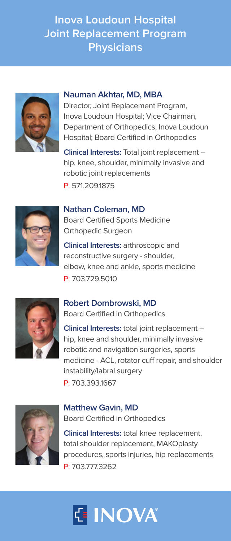# **Inova Loudoun Hospital Joint Replacement Program Physicians**



### **Nauman Akhtar, MD, MBA**

Director, Joint Replacement Program, Inova Loudoun Hospital; Vice Chairman, Department of Orthopedics, Inova Loudoun Hospital; Board Certified in Orthopedics

**Clinical Interests:** Total joint replacement – hip, knee, shoulder, minimally invasive and robotic joint replacements P: 571.209.1875



## **Nathan Coleman, MD**

Board Certified Sports Medicine Orthopedic Surgeon

**Clinical Interests:** arthroscopic and reconstructive surgery - shoulder, elbow, knee and ankle, sports medicine P: 703.729.5010



#### **Robert Dombrowski, MD** Board Certified in Orthopedics

**Clinical Interests:** total joint replacement – hip, knee and shoulder, minimally invasive robotic and navigation surgeries, sports medicine - ACL, rotator cuff repair, and shoulder instability/labral surgery P: 703.393.1667



## **Matthew Gavin, MD** Board Certified in Orthopedics

**Clinical Interests:** total knee replacement, total shoulder replacement, MAKOplasty procedures, sports injuries, hip replacements P: 703.777.3262